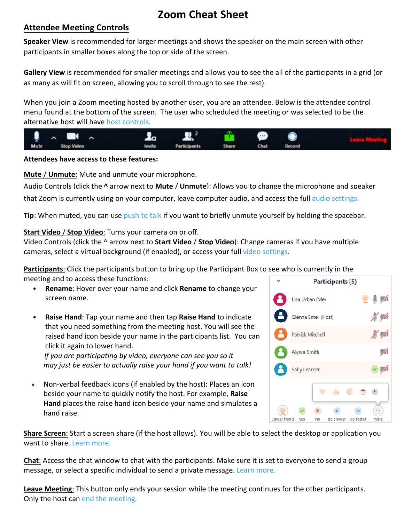## **Zoom Cheat Sheet**

### **Attendee Meeting Controls**

**Speaker View** is recommended for larger meetings and shows the speaker on the main screen with other participants in smaller boxes along the top or side of the screen.

**Gallery View** is recommended for smaller meetings and allows you to see the all of the participants in a grid (or as many as will fit on screen, allowing you to scroll through to see the rest).

When you join a Zoom meeting hosted by another user, you are an attendee. Below is the attendee control menu found at the bottom of the screen. The user who scheduled the meeting or was selected to be the alternative host will have [host controls.](https://support.zoom.us/hc/en-us/articles/201362603-What-Are-the-Host-Controls-)



### **Attendees have access to these features:**

**Mute** / **Unmute:** Mute and unmute your microphone.

Audio Controls (click the **^** arrow next to **Mute** / **Unmute**): Allows you to change the microphone and speaker

that Zoom is currently using on your computer, leave computer audio, and access the full [audio settings.](https://support.zoom.us/hc/en-us/articles/201362623-About-Settings)

**Tip**: When muted, you can use [push to talk](https://support.zoom.us/hc/en-us/articles/360000510003) if you want to briefly unmute yourself by holding the spacebar.

### **Start Video** / **Stop Video**: Turns your camera on or off.

Video Controls (click the ^ arrow next to **Start Video** / **Stop Video**): Change cameras if you have multiple cameras, select a [virtual background](https://support.zoom.us/hc/en-us/articles/210707503-Virtual-Background) (if enabled), or access your full [video settings.](https://support.zoom.us/hc/en-us/articles/201362623-About-Settings)

**Participants**: Click the participants button to bring up the Participant Box to see who is currently in the meeting and to access these functions:

• **Rename**: Hover over your name and click **Rename** to change your screen name.



• **Raise Hand**: Tap your name and then tap **Raise Hand** to indicate that you need something from the meeting host. You will see the raised hand icon beside your name in the participants list. You can click it again to lower hand.

*If you are participating by video, everyone can see you so it may just be easier to actually raise your hand if you want to talk!*

• Non-verbal feedback icons (if enabled by the host): Places an icon beside your name to quickly notify the host. For example, **Raise Hand** places the raise hand icon beside your name and simulates a hand raise.

want to share. [Learn more.](https://support.zoom.us/hc/en-us/articles/201362153-How-Do-I-Share-My-Screen-) **Share Screen**: Start a screen share (if the host allows). You will be able to select the desktop or application you

**Chat**: Access the chat window to chat with the participants. Make sure it is set to everyone to send a group message, or select a specific individual to send a private message[. Learn more.](https://support.zoom.us/hc/en-us/articles/203650445-In-Meeting-Chat)

**Leave Meeting**: This button only ends your session while the meeting continues for the other participants. Only the host can [end the meeting.](https://support.zoom.us/hc/en-us/articles/201362603-Host-Controls-in-a-Meeting)